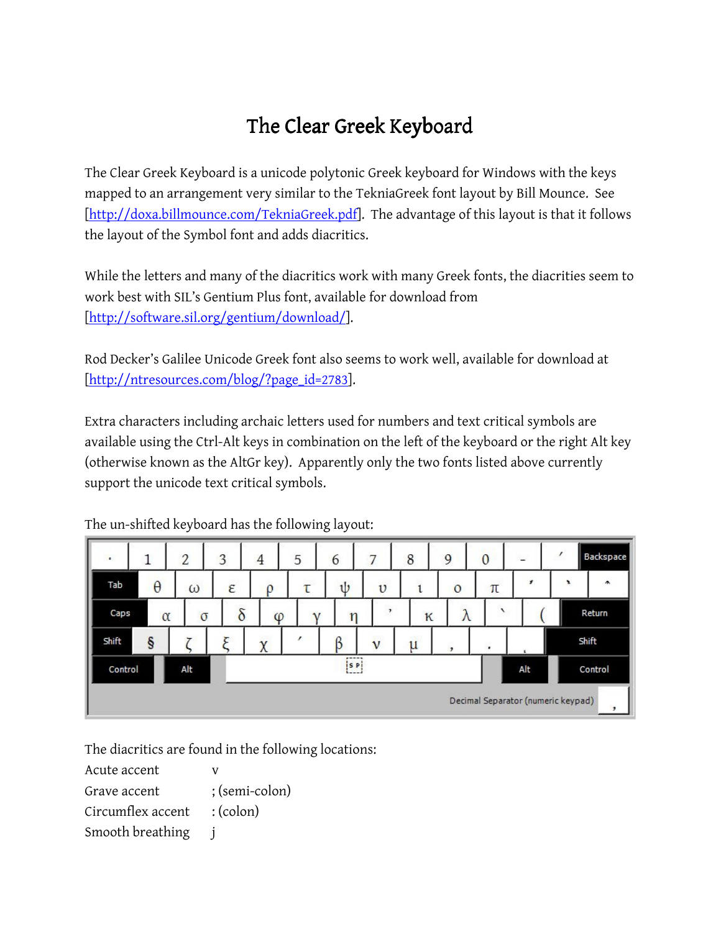## The Clear Greek Keyboard

The Clear Greek Keyboard is a unicode polytonic Greek keyboard for Windows with the keys mapped to an arrangement very similar to the TekniaGreek font layout by Bill Mounce. See [http://doxa.billmounce.com/TekniaGreek.pdf]. The advantage of this layout is that it follows the layout of the Symbol font and adds diacritics.

While the letters and many of the diacritics work with many Greek fonts, the diacrities seem to work best with SIL's Gentium Plus font, available for download from [http://software.sil.org/gentium/download/].

Rod Decker's Galilee Unicode Greek font also seems to work well, available for download at [http://ntresources.com/blog/?page\_id=2783].

Extra characters including archaic letters used for numbers and text critical symbols are available using the Ctrl-Alt keys in combination on the left of the keyboard or the right Alt key (otherwise known as the AltGr key). Apparently only the two fonts listed above currently support the unicode text critical symbols.

| $\blacksquare$                                                 |          | 2        | 3                 | 4               | 5 | 6                        | 7           | 8 | 9       | $\mathbf 0$ | L            |   | Backspace             |  |
|----------------------------------------------------------------|----------|----------|-------------------|-----------------|---|--------------------------|-------------|---|---------|-------------|--------------|---|-----------------------|--|
| Tab.                                                           | $\theta$ | ω        | <b>STATE</b><br>ε | ρ               | τ | $\mathbf{d}$             | $\upsilon$  |   | $\circ$ | π           | $\mathbf{r}$ | × | $\tilde{\phantom{a}}$ |  |
| Caps                                                           | $\alpha$ | $\sigma$ | δ                 | φ               |   | n                        | P.          | K | л       |             |              |   | Return                |  |
| Shift                                                          | §        |          |                   | <b>SML</b><br>χ |   |                          | $\mathbf v$ | u | ,       | ٠           |              |   | Shift                 |  |
| Control                                                        |          | Alt      |                   |                 |   | $- - - -$<br>$[$ s P $]$ |             |   |         |             | Alt          |   | Control               |  |
| Decimal Separator (numeric keypad)<br>$\overline{\phantom{a}}$ |          |          |                   |                 |   |                          |             |   |         |             |              |   |                       |  |

The un-shifted keyboard has the following layout:

The diacritics are found in the following locations:

| Acute accent      |                   |
|-------------------|-------------------|
| Grave accent      | ; (semi-colon)    |
| Circumflex accent | $:(\text{colon})$ |
| Smooth breathing  |                   |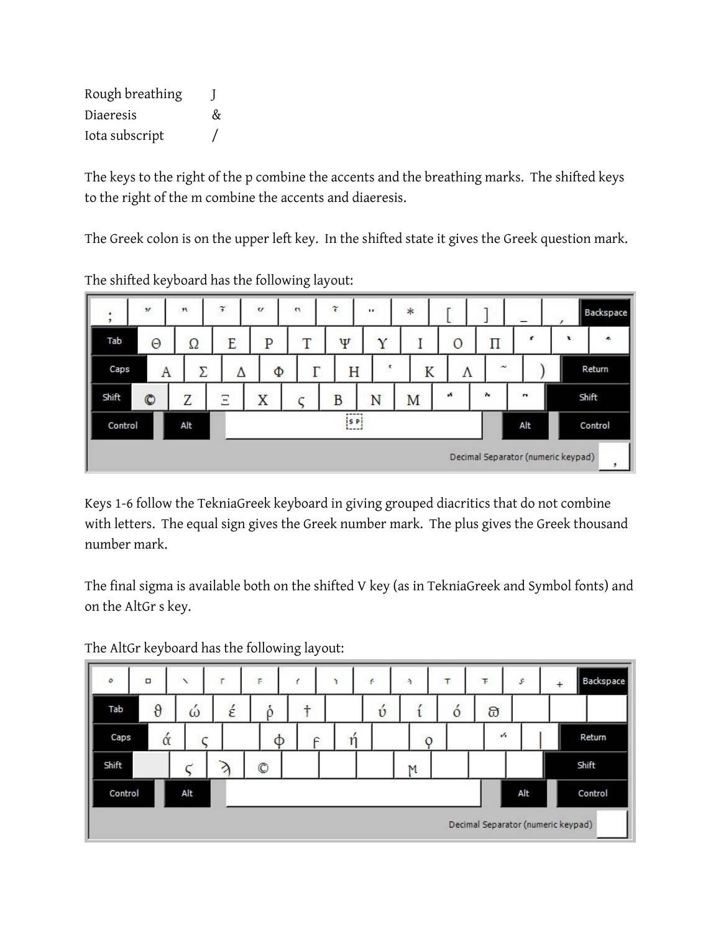| Rough breathing |   |  |
|-----------------|---|--|
| Diaeresis       | & |  |
| Iota subscript  |   |  |

The keys to the right of the p combine the accents and the breathing marks. The shifted keys to the right of the m combine the accents and diaeresis.

The Greek colon is on the upper left key. In the shifted state it gives the Greek question mark.

| ٠<br>٠  | $\pmb{\mathcal{U}}$ | $\boldsymbol{\pi}$ | $\widetilde{\mathfrak{s}}$ | $\mathbf{v}$ | $\mathbf{a}$ | $\widetilde{\epsilon}$         | $\cdot\cdot$   | $\ast$ |               |            | $=$          |                                    | Backspace |
|---------|---------------------|--------------------|----------------------------|--------------|--------------|--------------------------------|----------------|--------|---------------|------------|--------------|------------------------------------|-----------|
| Tab     | $\Theta$            | Ω                  | E                          | $\mathbf P$  | T            | Ψ                              |                |        | $\Omega$      | Π          | ť            | t                                  | ×.        |
| Caps    | A                   | Σ                  |                            | Φ            |              | Н                              | $\mathfrak{r}$ | K      | Λ             | $\tilde{}$ |              |                                    | Return    |
| Shift   | $\circledcirc$      | Z                  | $\Xi$                      | X            |              | B                              | N              | M      | $\mathcal{N}$ | $\lambda$  | $\mathbf{r}$ |                                    | Shift     |
| Control |                     | Alt                |                            |              |              | $- - - -$<br>is Pi<br>$1 - -1$ |                |        |               |            | Alt          |                                    | Control   |
|         |                     |                    |                            |              |              |                                |                |        |               |            |              | Decimal Separator (numeric keypad) | ,         |

The shifted keyboard has the following layout:

Keys 1-6 follow the TekniaGreek keyboard in giving grouped diacritics that do not combine with letters. The equal sign gives the Greek number mark. The plus gives the Greek thousand number mark.

The final sigma is available both on the shifted V key (as in TekniaGreek and Symbol fonts) and on the AltGr s key.

| $\circ$ | $\Box$   | $\checkmark$ | г | F              | ŕ | ٦ | f.                 | ÷,           | T       | Ŧ                     | s   | $\ddot{}$                          | Backspace |
|---------|----------|--------------|---|----------------|---|---|--------------------|--------------|---------|-----------------------|-----|------------------------------------|-----------|
| Tab     | $\theta$ | ,<br>ω       | έ | O              | t |   | $\check{\upsilon}$ |              | $\circ$ | බ                     |     |                                    |           |
| Caps    | ά        |              |   | φ              |   | n |                    | $\circ$      |         | $\mathcal{N}_\bullet$ |     |                                    | Return    |
| Shift   |          |              |   | $\circledcirc$ |   |   |                    | $\mathbb{M}$ |         |                       |     |                                    | Shift     |
| Control |          | Alt          |   |                |   |   |                    |              |         |                       | Alt |                                    | Control   |
|         |          |              |   |                |   |   |                    |              |         |                       |     | Decimal Separator (numeric keypad) |           |

The AltGr keyboard has the following layout: